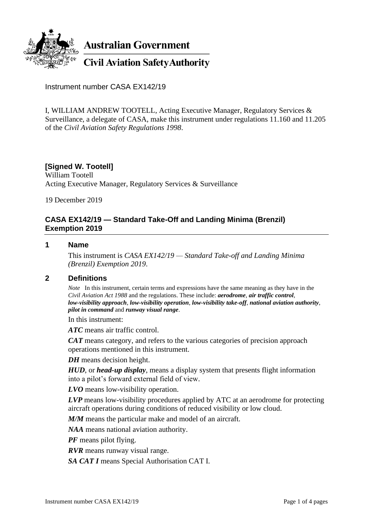

Instrument number CASA EX142/19

I, WILLIAM ANDREW TOOTELL, Acting Executive Manager, Regulatory Services & Surveillance, a delegate of CASA, make this instrument under regulations 11.160 and 11.205 of the *Civil Aviation Safety Regulations 1998*.

## **[Signed W. Tootell]**

William Tootell Acting Executive Manager, Regulatory Services & Surveillance

19 December 2019

## **CASA EX142/19 — Standard Take-Off and Landing Minima (Brenzil) Exemption 2019**

#### **1 Name**

This instrument is *CASA EX142/19 — Standard Take-off and Landing Minima (Brenzil) Exemption 2019*.

## **2 Definitions**

*Note* In this instrument, certain terms and expressions have the same meaning as they have in the *Civil Aviation Act 1988* and the regulations. These include: *aerodrome*, *air traffic control*, *low-visibility approach*, *low-visibility operation*, *low-visibility take-off*, *national aviation authority*, *pilot in command* and *runway visual range*.

In this instrument:

*ATC* means air traffic control.

*CAT* means category, and refers to the various categories of precision approach operations mentioned in this instrument.

*DH* means decision height.

*HUD*, or *head-up display*, means a display system that presents flight information into a pilot's forward external field of view.

*LVO* means low-visibility operation.

*LVP* means low-visibility procedures applied by ATC at an aerodrome for protecting aircraft operations during conditions of reduced visibility or low cloud.

*M/M* means the particular make and model of an aircraft.

*NAA* means national aviation authority.

*PF* means pilot flying.

*RVR* means runway visual range.

*SA CAT I* means Special Authorisation CAT I.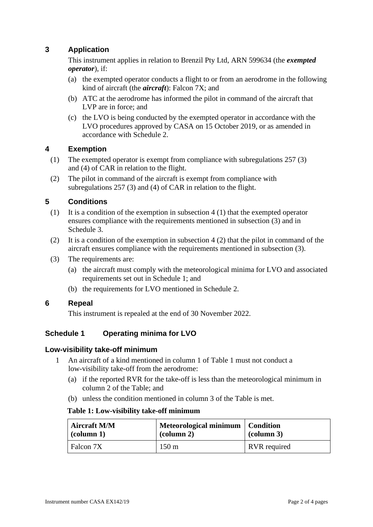# **3 Application**

This instrument applies in relation to Brenzil Pty Ltd, ARN 599634 (the *exempted operator*), if:

- (a) the exempted operator conducts a flight to or from an aerodrome in the following kind of aircraft (the *aircraft*): Falcon 7X; and
- (b) ATC at the aerodrome has informed the pilot in command of the aircraft that LVP are in force; and
- (c) the LVO is being conducted by the exempted operator in accordance with the LVO procedures approved by CASA on 15 October 2019, or as amended in accordance with Schedule 2.

## **4 Exemption**

- (1) The exempted operator is exempt from compliance with subregulations 257 (3) and (4) of CAR in relation to the flight.
- (2) The pilot in command of the aircraft is exempt from compliance with subregulations 257 (3) and (4) of CAR in relation to the flight.

## **5 Conditions**

- (1) It is a condition of the exemption in subsection 4 (1) that the exempted operator ensures compliance with the requirements mentioned in subsection (3) and in Schedule 3.
- (2) It is a condition of the exemption in subsection 4 (2) that the pilot in command of the aircraft ensures compliance with the requirements mentioned in subsection (3).
- (3) The requirements are:
	- (a) the aircraft must comply with the meteorological minima for LVO and associated requirements set out in Schedule 1; and
	- (b) the requirements for LVO mentioned in Schedule 2.

#### **6 Repeal**

This instrument is repealed at the end of 30 November 2022.

# **Schedule 1 Operating minima for LVO**

#### **Low-visibility take-off minimum**

- 1 An aircraft of a kind mentioned in column 1 of Table 1 must not conduct a low-visibility take-off from the aerodrome:
	- (a) if the reported RVR for the take-off is less than the meteorological minimum in column 2 of the Table; and
	- (b) unless the condition mentioned in column 3 of the Table is met.

#### **Table 1: Low-visibility take-off minimum**

| <b>Aircraft M/M</b><br>$\alpha$ (column 1) | Meteorological minimum   Condition<br>$\left(\text{column } 2\right)$ | $\alpha$ (column 3) |
|--------------------------------------------|-----------------------------------------------------------------------|---------------------|
| Falcon 7X                                  | $150 \text{ m}$                                                       | RVR required        |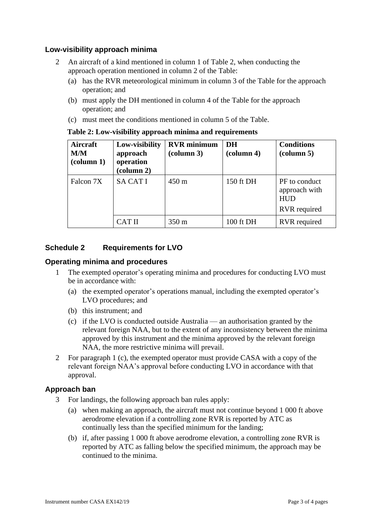## **Low-visibility approach minima**

- 2 An aircraft of a kind mentioned in column 1 of Table 2, when conducting the approach operation mentioned in column 2 of the Table:
	- (a) has the RVR meteorological minimum in column 3 of the Table for the approach operation; and
	- (b) must apply the DH mentioned in column 4 of the Table for the approach operation; and
	- (c) must meet the conditions mentioned in column 5 of the Table.

| Aircraft<br>M/M<br>$\left(\text{column } 1\right)$ | Low-visibility<br>approach<br>operation<br>(column 2) | <b>RVR</b> minimum<br>$\left(\text{column }3\right)$ | DH<br>$\left(\text{column } 4\right)$ | <b>Conditions</b><br>$\left(\text{column } 5\right)$         |
|----------------------------------------------------|-------------------------------------------------------|------------------------------------------------------|---------------------------------------|--------------------------------------------------------------|
| Falcon 7X                                          | <b>SA CAT I</b>                                       | $450 \text{ m}$                                      | 150 ft DH                             | PF to conduct<br>approach with<br><b>HUD</b><br>RVR required |
|                                                    | <b>CAT II</b>                                         | $350 \text{ m}$                                      | 100 ft DH                             | <b>RVR</b> required                                          |

## **Table 2: Low-visibility approach minima and requirements**

## **Schedule 2 Requirements for LVO**

## **Operating minima and procedures**

- 1 The exempted operator's operating minima and procedures for conducting LVO must be in accordance with:
	- (a) the exempted operator's operations manual, including the exempted operator's LVO procedures; and
	- (b) this instrument; and
	- (c) if the LVO is conducted outside Australia an authorisation granted by the relevant foreign NAA, but to the extent of any inconsistency between the minima approved by this instrument and the minima approved by the relevant foreign NAA, the more restrictive minima will prevail.
- 2 For paragraph 1 (c), the exempted operator must provide CASA with a copy of the relevant foreign NAA's approval before conducting LVO in accordance with that approval.

## **Approach ban**

- 3 For landings, the following approach ban rules apply:
	- (a) when making an approach, the aircraft must not continue beyond 1 000 ft above aerodrome elevation if a controlling zone RVR is reported by ATC as continually less than the specified minimum for the landing;
	- (b) if, after passing 1 000 ft above aerodrome elevation, a controlling zone RVR is reported by ATC as falling below the specified minimum, the approach may be continued to the minima.